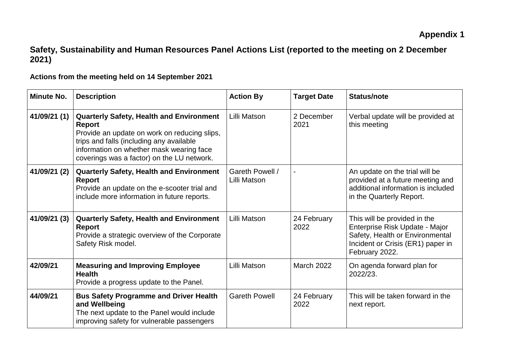## **Safety, Sustainability and Human Resources Panel Actions List (reported to the meeting on 2 December 2021)**

## **Actions from the meeting held on 14 September 2021**

| <b>Minute No.</b> | <b>Description</b>                                                                                                                                                                                                                                     | <b>Action By</b>                | <b>Target Date</b>  | <b>Status/note</b>                                                                                                                                       |
|-------------------|--------------------------------------------------------------------------------------------------------------------------------------------------------------------------------------------------------------------------------------------------------|---------------------------------|---------------------|----------------------------------------------------------------------------------------------------------------------------------------------------------|
| 41/09/21 (1)      | <b>Quarterly Safety, Health and Environment</b><br><b>Report</b><br>Provide an update on work on reducing slips,<br>trips and falls (including any available<br>information on whether mask wearing face<br>coverings was a factor) on the LU network. | Lilli Matson                    | 2 December<br>2021  | Verbal update will be provided at<br>this meeting                                                                                                        |
| 41/09/21 (2)      | <b>Quarterly Safety, Health and Environment</b><br><b>Report</b><br>Provide an update on the e-scooter trial and<br>include more information in future reports.                                                                                        | Gareth Powell /<br>Lilli Matson |                     | An update on the trial will be<br>provided at a future meeting and<br>additional information is included<br>in the Quarterly Report.                     |
| 41/09/21 (3)      | <b>Quarterly Safety, Health and Environment</b><br><b>Report</b><br>Provide a strategic overview of the Corporate<br>Safety Risk model.                                                                                                                | Lilli Matson                    | 24 February<br>2022 | This will be provided in the<br>Enterprise Risk Update - Major<br>Safety, Health or Environmental<br>Incident or Crisis (ER1) paper in<br>February 2022. |
| 42/09/21          | <b>Measuring and Improving Employee</b><br><b>Health</b><br>Provide a progress update to the Panel.                                                                                                                                                    | Lilli Matson                    | <b>March 2022</b>   | On agenda forward plan for<br>2022/23.                                                                                                                   |
| 44/09/21          | <b>Bus Safety Programme and Driver Health</b><br>and Wellbeing<br>The next update to the Panel would include<br>improving safety for vulnerable passengers                                                                                             | <b>Gareth Powell</b>            | 24 February<br>2022 | This will be taken forward in the<br>next report.                                                                                                        |